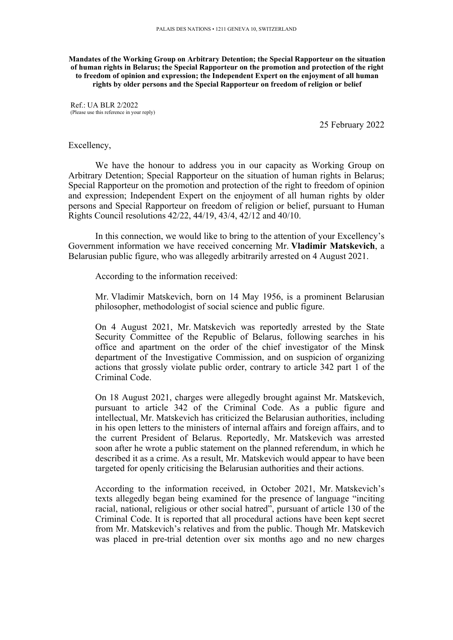**Mandates of the Working Group on Arbitrary Detention; the Special Rapporteur on the situation of human rights in Belarus; the Special Rapporteur on the promotion and protection of the right to freedom of opinion and expression; the Independent Expert on the enjoyment of all human rights by older persons and the Special Rapporteur on freedom of religion or belief**

 $Ref$  · UA BLR 2/2022 (Please use this reference in your reply)

25 February 2022

## Excellency,

We have the honour to address you in our capacity as Working Group on Arbitrary Detention; Special Rapporteur on the situation of human rights in Belarus; Special Rapporteur on the promotion and protection of the right to freedom of opinion and expression; Independent Expert on the enjoyment of all human rights by older persons and Special Rapporteur on freedom of religion or belief, pursuan<sup>t</sup> to Human Rights Council resolutions 42/22, 44/19, 43/4, 42/12 and 40/10.

In this connection, we would like to bring to the attention of your Excellency'<sup>s</sup> Government information we have received concerning Mr. **Vladimir Matskevich**, <sup>a</sup> Belarusian public figure, who was allegedly arbitrarily arrested on 4 August 2021.

According to the information received:

Mr. Vladimir Matskevich, born on 14 May 1956, is <sup>a</sup> prominent Belarusian philosopher, methodologist of social science and public figure.

On 4 August 2021, Mr. Matskevich was reportedly arrested by the State Security Committee of the Republic of Belarus, following searches in his office and apartment on the order of the chief investigator of the Minsk department of the Investigative Commission, and on suspicion of organizing actions that grossly violate public order, contrary to article 342 par<sup>t</sup> 1 of the Criminal Code.

On 18 August 2021, charges were allegedly brought against Mr. Matskevich, pursuan<sup>t</sup> to article 342 of the Criminal Code. As <sup>a</sup> public figure and intellectual, Mr. Matskevich has criticized the Belarusian authorities, including in his open letters to the ministers of internal affairs and foreign affairs, and to the current President of Belarus. Reportedly, Mr. Matskevich was arrested soon after he wrote <sup>a</sup> public statement on the planned referendum, in which he described it as <sup>a</sup> crime. As <sup>a</sup> result, Mr. Matskevich would appear to have been targeted for openly criticising the Belarusian authorities and their actions.

According to the information received, in October 2021, Mr. Matskevich'<sup>s</sup> texts allegedly began being examined for the presence of language "inciting racial, national, religious or other social hatred", pursuan<sup>t</sup> of article 130 of the Criminal Code. It is reported that all procedural actions have been kept secret from Mr. Matskevich'<sup>s</sup> relatives and from the public. Though Mr. Matskevich was placed in pre-trial detention over six months ago and no new charges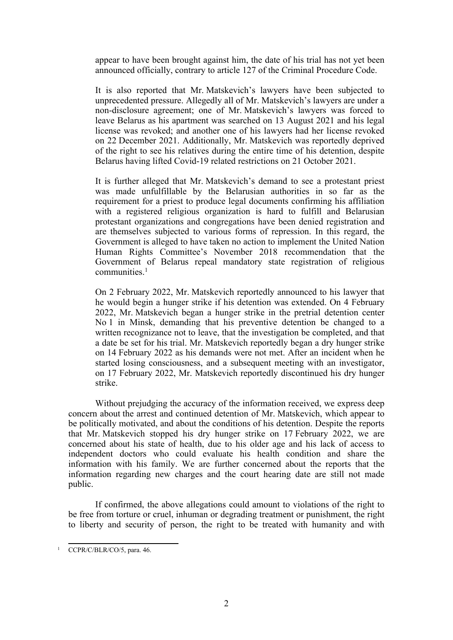appear to have been brought against him, the date of his trial has not ye<sup>t</sup> been announced officially, contrary to article 127 of the Criminal Procedure Code.

It is also reported that Mr. Matskevich'<sup>s</sup> lawyers have been subjected to unprecedented pressure. Allegedly all of Mr. Matskevich'<sup>s</sup> lawyers are under <sup>a</sup> non-disclosure agreement; one of Mr. Matskevich'<sup>s</sup> lawyers was forced to leave Belarus as his apartment was searched on 13 August 2021 and his legal license was revoked; and another one of his lawyers had her license revoked on 22 December 2021. Additionally, Mr. Matskevich was reportedly deprived of the right to see his relatives during the entire time of his detention, despite Belarus having lifted Covid-19 related restrictions on 21 October 2021.

It is further alleged that Mr. Matskevich'<sup>s</sup> demand to see <sup>a</sup> protestant priest was made unfulfillable by the Belarusian authorities in so far as the requirement for <sup>a</sup> priest to produce legal documents confirming his affiliation with <sup>a</sup> registered religious organization is hard to fulfill and Belarusian protestant organizations and congregations have been denied registration and are themselves subjected to various forms of repression. In this regard, the Government is alleged to have taken no action to implement the United Nation Human Rights Committee'<sup>s</sup> November 2018 recommendation that the Government of Belarus repeal mandatory state registration of religious communities. 1

On 2 February 2022, Mr. Matskevich reportedly announced to his lawyer that he would begin <sup>a</sup> hunger strike if his detention was extended. On 4 February 2022, Mr. Matskevich began <sup>a</sup> hunger strike in the pretrial detention center No 1 in Minsk, demanding that his preventive detention be changed to <sup>a</sup> written recognizance not to leave, that the investigation be completed, and that <sup>a</sup> date be set for his trial. Mr. Matskevich reportedly began <sup>a</sup> dry hunger strike on 14 February 2022 as his demands were not met. After an incident when he started losing consciousness, and <sup>a</sup> subsequent meeting with an investigator, on 17 February 2022, Mr. Matskevich reportedly discontinued his dry hunger strike.

Without prejudging the accuracy of the information received, we express deep concern about the arrest and continued detention of Mr. Matskevich, which appear to be politically motivated, and about the conditions of his detention. Despite the reports that Mr. Matskevich stopped his dry hunger strike on 17 February 2022, we are concerned about his state of health, due to his older age and his lack of access to independent doctors who could evaluate his health condition and share the information with his family. We are further concerned about the reports that the information regarding new charges and the court hearing date are still not made public.

If confirmed, the above allegations could amount to violations of the right to be free from torture or cruel, inhuman or degrading treatment or punishment, the right to liberty and security of person, the right to be treated with humanity and with

<sup>1</sup> CCPR/C/BLR/CO/5, para. 46.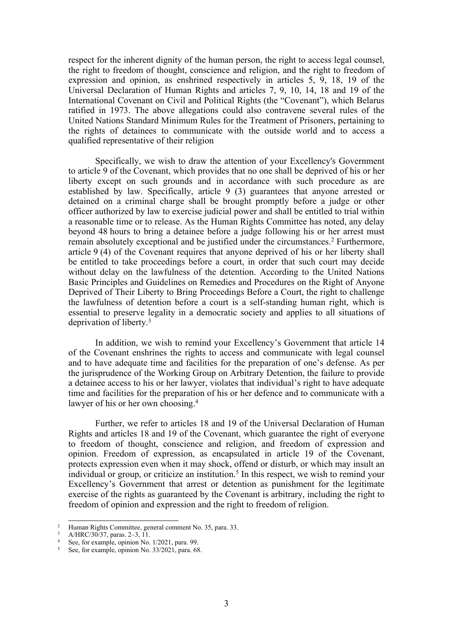respec<sup>t</sup> for the inherent dignity of the human person, the right to access legal counsel, the right to freedom of thought, conscience and religion, and the right to freedom of expression and opinion, as enshrined respectively in articles 5, 9, 18, 19 of the Universal Declaration of Human Rights and articles 7, 9, 10, 14, 18 and 19 of the International Covenant on Civil and Political Rights (the "Covenant"), which Belarus ratified in 1973. The above allegations could also contravene several rules of the United Nations Standard Minimum Rules for the Treatment of Prisoners, pertaining to the rights of detainees to communicate with the outside world and to access <sup>a</sup> qualified representative of their religion

Specifically, we wish to draw the attention of your Excellency's Government to article 9 of the Covenant, which provides that no one shall be deprived of his or her liberty except on such grounds and in accordance with such procedure as are established by law. Specifically, article 9 (3) guarantees that anyone arrested or detained on <sup>a</sup> criminal charge shall be brought promptly before <sup>a</sup> judge or other officer authorized by law to exercise judicial power and shall be entitled to trial within <sup>a</sup> reasonable time or to release. As the Human Rights Committee has noted, any delay beyond 48 hours to bring <sup>a</sup> detainee before <sup>a</sup> judge following his or her arrest must remain absolutely exceptional and be justified under the circumstances. 2 Furthermore, article 9 (4) of the Covenant requires that anyone deprived of his or her liberty shall be entitled to take proceedings before <sup>a</sup> court, in order that such court may decide without delay on the lawfulness of the detention. According to the United Nations Basic Principles and Guidelines on Remedies and Procedures on the Right of Anyone Deprived of Their Liberty to Bring Proceedings Before <sup>a</sup> Court, the right to challenge the lawfulness of detention before <sup>a</sup> court is <sup>a</sup> self-standing human right, which is essential to preserve legality in <sup>a</sup> democratic society and applies to all situations of deprivation of liberty. 3

In addition, we wish to remind your Excellency'<sup>s</sup> Government that article 14 of the Covenant enshrines the rights to access and communicate with legal counsel and to have adequate time and facilities for the preparation of one'<sup>s</sup> defense. As per the jurisprudence of the Working Group on Arbitrary Detention, the failure to provide <sup>a</sup> detainee access to his or her lawyer, violates that individual'<sup>s</sup> right to have adequate time and facilities for the preparation of his or her defence and to communicate with <sup>a</sup> lawyer of his or her own choosing. 4

Further, we refer to articles 18 and 19 of the Universal Declaration of Human Rights and articles 18 and 19 of the Covenant, which guarantee the right of everyone to freedom of thought, conscience and religion, and freedom of expression and opinion. Freedom of expression, as encapsulated in article 19 of the Covenant, protects expression even when it may shock, offend or disturb, or which may insult an individual or group, or criticize an institution. 5 In this respect, we wish to remind your Excellency'<sup>s</sup> Government that arrest or detention as punishment for the legitimate exercise of the rights as guaranteed by the Covenant is arbitrary, including the right to freedom of opinion and expression and the right to freedom of religion.

<sup>2</sup> Human Rights Committee, general comment No. 35, para. 33.

<sup>3</sup> A/HRC/30/37, paras. 2–3, 11.

<sup>4</sup> See, for example, opinion No. 1/2021, para. 99.

<sup>5</sup> See, for example, opinion No. 33/2021, para. 68.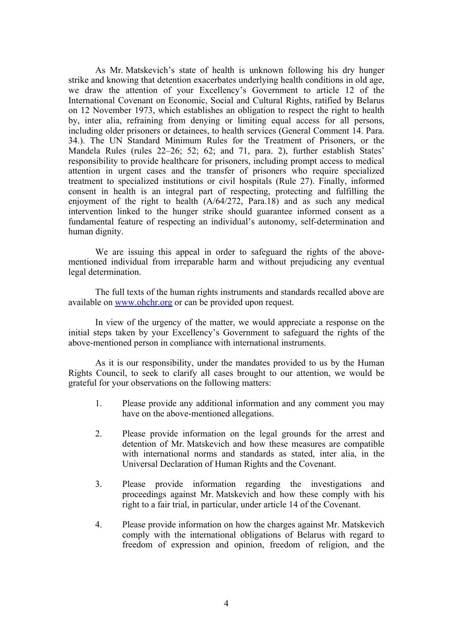As Mr. Matskevich'<sup>s</sup> state of health is unknown following his dry hunger strike and knowing that detention exacerbates underlying health conditions in old age, we draw the attention of your Excellency'<sup>s</sup> Government to article 12 of the International Covenant on Economic, Social and Cultural Rights, ratified by Belarus on 12 November 1973, which establishes an obligation to respec<sup>t</sup> the right to health by, inter alia, refraining from denying or limiting equal access for all persons, including older prisoners or detainees, to health services (General Comment 14. Para. 34.). The UN Standard Minimum Rules for the Treatment of Prisoners, or the Mandela Rules (rules 22–26; 52; 62; and 71, para. 2), further establish States' responsibility to provide healthcare for prisoners, including promp<sup>t</sup> access to medical attention in urgen<sup>t</sup> cases and the transfer of prisoners who require specialized treatment to specialized institutions or civil hospitals (Rule 27). Finally, informed consent in health is an integral par<sup>t</sup> of respecting, protecting and fulfilling the enjoyment of the right to health (A/64/272, Para.18) and as such any medical intervention linked to the hunger strike should guarantee informed consent as <sup>a</sup> fundamental feature of respecting an individual'<sup>s</sup> autonomy, self-determination and human dignity.

We are issuing this appeal in order to safeguard the rights of the abovementioned individual from irreparable harm and without prejudicing any eventual legal determination.

The full texts of the human rights instruments and standards recalled above are available on [www.ohchr.org](http://www.ohchr.org) or can be provided upon request.

In view of the urgency of the matter, we would appreciate <sup>a</sup> response on the initial steps taken by your Excellency'<sup>s</sup> Government to safeguard the rights of the above-mentioned person in compliance with international instruments.

As it is our responsibility, under the mandates provided to us by the Human Rights Council, to seek to clarify all cases brought to our attention, we would be grateful for your observations on the following matters:

- 1. Please provide any additional information and any comment you may have on the above-mentioned allegations.
- 2. Please provide information on the legal grounds for the arrest and detention of Mr. Matskevich and how these measures are compatible with international norms and standards as stated, inter alia, in the Universal Declaration of Human Rights and the Covenant.
- 3. Please provide information regarding the investigations and proceedings against Mr. Matskevich and how these comply with his right to <sup>a</sup> fair trial, in particular, under article 14 of the Covenant.
- 4. Please provide information on how the charges against Mr. Matskevich comply with the international obligations of Belarus with regard to freedom of expression and opinion, freedom of religion, and the